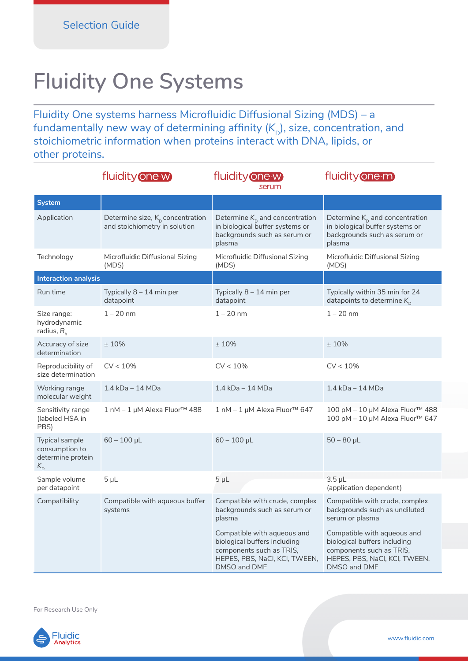## **Fluidity One Systems**

Fluidity One systems harness Microfluidic Diffusional Sizing (MDS) – a fundamentally new way of determining affinity (K<sub>D</sub>), size, concentration, and stoichiometric information when proteins interact with DNA, lipids, or other proteins.

|                                                                         | fluidity one-w                                                                | fluidity one-w<br>serum                                                                                                                  | fluidity one-m                                                                                                                           |
|-------------------------------------------------------------------------|-------------------------------------------------------------------------------|------------------------------------------------------------------------------------------------------------------------------------------|------------------------------------------------------------------------------------------------------------------------------------------|
| System                                                                  |                                                                               |                                                                                                                                          |                                                                                                                                          |
| Application                                                             | Determine size, $K_{\text{D}}$ concentration<br>and stoichiometry in solution | Determine $K_{\text{D}}$ and concentration<br>in biological buffer systems or<br>backgrounds such as serum or<br>plasma                  | Determine $K_{\text{D}}$ and concentration<br>in biological buffer systems or<br>backgrounds such as serum or<br>plasma                  |
| Technology                                                              | Microfluidic Diffusional Sizing<br>(MDS)                                      | Microfluidic Diffusional Sizing<br>(MDS)                                                                                                 | Microfluidic Diffusional Sizing<br>(MDS)                                                                                                 |
| <b>Interaction analysis</b>                                             |                                                                               |                                                                                                                                          |                                                                                                                                          |
| Run time                                                                | Typically $8 - 14$ min per<br>datapoint                                       | Typically $8 - 14$ min per<br>datapoint                                                                                                  | Typically within 35 min for 24<br>datapoints to determine $K_{\text{D}}$                                                                 |
| Size range:<br>hydrodynamic<br>radius, $R_h$                            | $1 - 20$ nm                                                                   | $1 - 20$ nm                                                                                                                              | $1 - 20$ nm                                                                                                                              |
| Accuracy of size<br>determination                                       | ±10%                                                                          | ±10%                                                                                                                                     | ±10%                                                                                                                                     |
| Reproducibility of<br>size determination                                | $CV < 10\%$                                                                   | $CV < 10\%$                                                                                                                              | $CV < 10\%$                                                                                                                              |
| Working range<br>molecular weight                                       | 1.4 kDa - 14 MDa                                                              | 1.4 kDa - 14 MDa                                                                                                                         | 1.4 kDa - 14 MDa                                                                                                                         |
| Sensitivity range<br>(labeled HSA in<br>PBS)                            | 1 nM - 1 µM Alexa Fluor™ 488                                                  | 1 nM − 1 µM Alexa Fluor <sup>™</sup> 647                                                                                                 | 100 pM - 10 µM Alexa Fluor™ 488<br>100 pM – 10 µM Alexa Fluor™ 647                                                                       |
| <b>Typical sample</b><br>consumption to<br>determine protein<br>$K_{D}$ | $60 - 100 \mu L$                                                              | $60 - 100$ µL                                                                                                                            | $50 - 80$ µL                                                                                                                             |
| Sample volume<br>per datapoint                                          | $5 \mu L$                                                                     | $5 \mu L$                                                                                                                                | 3.5 µL<br>(application dependent)                                                                                                        |
| Compatibility                                                           | Compatible with aqueous buffer<br>systems                                     | Compatible with crude, complex<br>backgrounds such as serum or<br>plasma                                                                 | Compatible with crude, complex<br>backgrounds such as undiluted<br>serum or plasma                                                       |
|                                                                         |                                                                               | Compatible with aqueous and<br>biological buffers including<br>components such as TRIS,<br>HEPES, PBS, NaCl, KCl, TWEEN,<br>DMSO and DMF | Compatible with aqueous and<br>biological buffers including<br>components such as TRIS,<br>HEPES, PBS, NaCI, KCI, TWEEN,<br>DMSO and DMF |

For Research Use Only